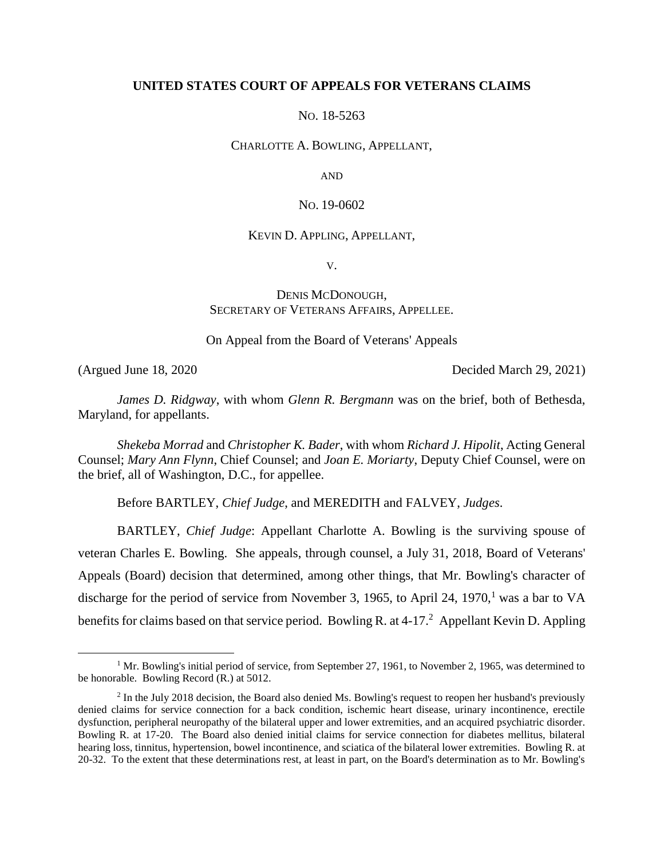# **UNITED STATES COURT OF APPEALS FOR VETERANS CLAIMS**

NO. 18-5263

#### CHARLOTTE A. BOWLING, APPELLANT,

AND

### NO. 19-0602

#### KEVIN D. APPLING, APPELLANT,

V.

# DENIS MCDONOUGH, SECRETARY OF VETERANS AFFAIRS, APPELLEE.

On Appeal from the Board of Veterans' Appeals

 $\overline{a}$ 

(Argued June 18, 2020 Decided March 29, 2021)

*James D. Ridgway*, with whom *Glenn R. Bergmann* was on the brief, both of Bethesda, Maryland, for appellants.

*Shekeba Morrad* and *Christopher K. Bader*, with whom *Richard J. Hipolit*, Acting General Counsel; *Mary Ann Flynn*, Chief Counsel; and *Joan E. Moriarty*, Deputy Chief Counsel, were on the brief, all of Washington, D.C., for appellee.

Before BARTLEY, *Chief Judge*, and MEREDITH and FALVEY, *Judges*.

BARTLEY, *Chief Judge*: Appellant Charlotte A. Bowling is the surviving spouse of veteran Charles E. Bowling. She appeals, through counsel, a July 31, 2018, Board of Veterans' Appeals (Board) decision that determined, among other things, that Mr. Bowling's character of discharge for the period of service from November 3, 1965, to April 24, 1970, $1$  was a bar to VA benefits for claims based on that service period. Bowling R. at 4-17.<sup>2</sup> Appellant Kevin D. Appling

<sup>&</sup>lt;sup>1</sup> Mr. Bowling's initial period of service, from September 27, 1961, to November 2, 1965, was determined to be honorable. Bowling Record (R.) at 5012.

<sup>&</sup>lt;sup>2</sup> In the July 2018 decision, the Board also denied Ms. Bowling's request to reopen her husband's previously denied claims for service connection for a back condition, ischemic heart disease, urinary incontinence, erectile dysfunction, peripheral neuropathy of the bilateral upper and lower extremities, and an acquired psychiatric disorder. Bowling R. at 17-20. The Board also denied initial claims for service connection for diabetes mellitus, bilateral hearing loss, tinnitus, hypertension, bowel incontinence, and sciatica of the bilateral lower extremities. Bowling R. at 20-32. To the extent that these determinations rest, at least in part, on the Board's determination as to Mr. Bowling's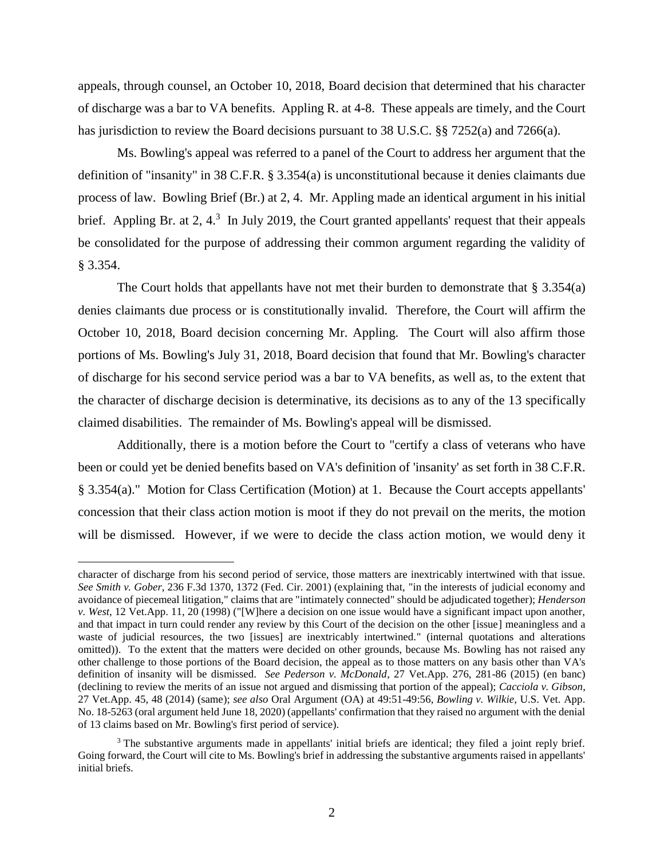appeals, through counsel, an October 10, 2018, Board decision that determined that his character of discharge was a bar to VA benefits. Appling R. at 4-8. These appeals are timely, and the Court has jurisdiction to review the Board decisions pursuant to 38 U.S.C. §§ 7252(a) and 7266(a).

Ms. Bowling's appeal was referred to a panel of the Court to address her argument that the definition of "insanity" in 38 C.F.R. § 3.354(a) is unconstitutional because it denies claimants due process of law. Bowling Brief (Br.) at 2, 4. Mr. Appling made an identical argument in his initial brief. Appling Br. at  $2, 4$ <sup>3</sup> In July 2019, the Court granted appellants' request that their appeals be consolidated for the purpose of addressing their common argument regarding the validity of § 3.354.

The Court holds that appellants have not met their burden to demonstrate that  $\S 3.354(a)$ denies claimants due process or is constitutionally invalid. Therefore, the Court will affirm the October 10, 2018, Board decision concerning Mr. Appling. The Court will also affirm those portions of Ms. Bowling's July 31, 2018, Board decision that found that Mr. Bowling's character of discharge for his second service period was a bar to VA benefits, as well as, to the extent that the character of discharge decision is determinative, its decisions as to any of the 13 specifically claimed disabilities. The remainder of Ms. Bowling's appeal will be dismissed.

Additionally, there is a motion before the Court to "certify a class of veterans who have been or could yet be denied benefits based on VA's definition of 'insanity' as set forth in 38 C.F.R. § 3.354(a)." Motion for Class Certification (Motion) at 1. Because the Court accepts appellants' concession that their class action motion is moot if they do not prevail on the merits, the motion will be dismissed. However, if we were to decide the class action motion, we would deny it

character of discharge from his second period of service, those matters are inextricably intertwined with that issue. *See Smith v. Gober*, 236 F.3d 1370, 1372 (Fed. Cir. 2001) (explaining that, "in the interests of judicial economy and avoidance of piecemeal litigation," claims that are "intimately connected" should be adjudicated together); *Henderson v. West*, 12 Vet.App. 11, 20 (1998) ("[W]here a decision on one issue would have a significant impact upon another, and that impact in turn could render any review by this Court of the decision on the other [issue] meaningless and a waste of judicial resources, the two [issues] are inextricably intertwined." (internal quotations and alterations omitted)). To the extent that the matters were decided on other grounds, because Ms. Bowling has not raised any other challenge to those portions of the Board decision, the appeal as to those matters on any basis other than VA's definition of insanity will be dismissed. *See Pederson v. McDonald*, 27 Vet.App. 276, 281-86 (2015) (en banc) (declining to review the merits of an issue not argued and dismissing that portion of the appeal); *Cacciola v. Gibson*, 27 Vet.App. 45, 48 (2014) (same); *see also* Oral Argument (OA) at 49:51-49:56, *Bowling v. Wilkie*, U.S. Vet. App. No. 18-5263 (oral argument held June 18, 2020) (appellants' confirmation that they raised no argument with the denial of 13 claims based on Mr. Bowling's first period of service).

<sup>&</sup>lt;sup>3</sup> The substantive arguments made in appellants' initial briefs are identical; they filed a joint reply brief. Going forward, the Court will cite to Ms. Bowling's brief in addressing the substantive arguments raised in appellants' initial briefs.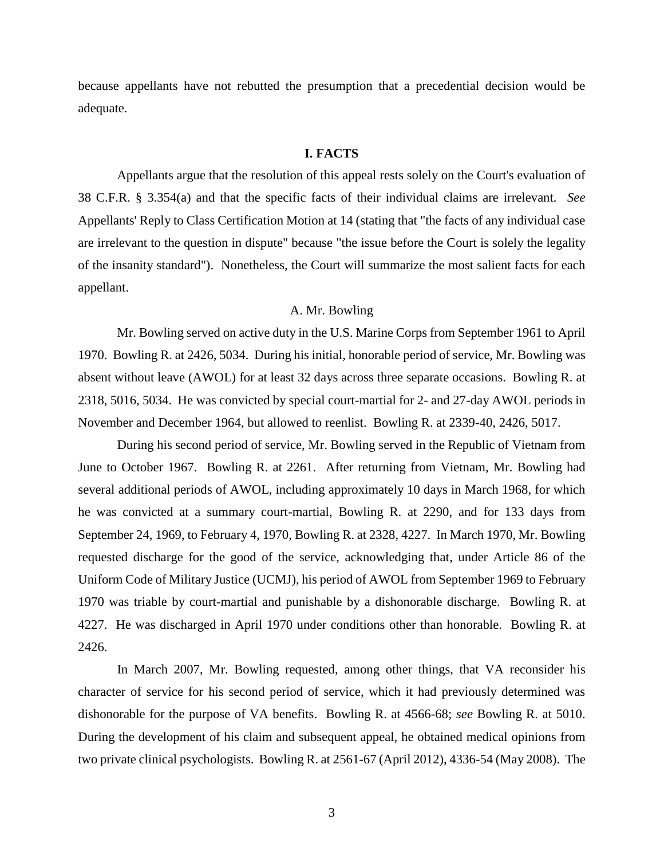because appellants have not rebutted the presumption that a precedential decision would be adequate.

#### **I. FACTS**

Appellants argue that the resolution of this appeal rests solely on the Court's evaluation of 38 C.F.R. § 3.354(a) and that the specific facts of their individual claims are irrelevant. *See* Appellants' Reply to Class Certification Motion at 14 (stating that "the facts of any individual case are irrelevant to the question in dispute" because "the issue before the Court is solely the legality of the insanity standard"). Nonetheless, the Court will summarize the most salient facts for each appellant.

# A. Mr. Bowling

Mr. Bowling served on active duty in the U.S. Marine Corps from September 1961 to April 1970. Bowling R. at 2426, 5034. During his initial, honorable period of service, Mr. Bowling was absent without leave (AWOL) for at least 32 days across three separate occasions. Bowling R. at 2318, 5016, 5034. He was convicted by special court-martial for 2- and 27-day AWOL periods in November and December 1964, but allowed to reenlist. Bowling R. at 2339-40, 2426, 5017.

During his second period of service, Mr. Bowling served in the Republic of Vietnam from June to October 1967. Bowling R. at 2261. After returning from Vietnam, Mr. Bowling had several additional periods of AWOL, including approximately 10 days in March 1968, for which he was convicted at a summary court-martial, Bowling R. at 2290, and for 133 days from September 24, 1969, to February 4, 1970, Bowling R. at 2328, 4227. In March 1970, Mr. Bowling requested discharge for the good of the service, acknowledging that, under Article 86 of the Uniform Code of Military Justice (UCMJ), his period of AWOL from September 1969 to February 1970 was triable by court-martial and punishable by a dishonorable discharge. Bowling R. at 4227. He was discharged in April 1970 under conditions other than honorable. Bowling R. at 2426.

In March 2007, Mr. Bowling requested, among other things, that VA reconsider his character of service for his second period of service, which it had previously determined was dishonorable for the purpose of VA benefits. Bowling R. at 4566-68; *see* Bowling R. at 5010. During the development of his claim and subsequent appeal, he obtained medical opinions from two private clinical psychologists. Bowling R. at 2561-67 (April 2012), 4336-54 (May 2008). The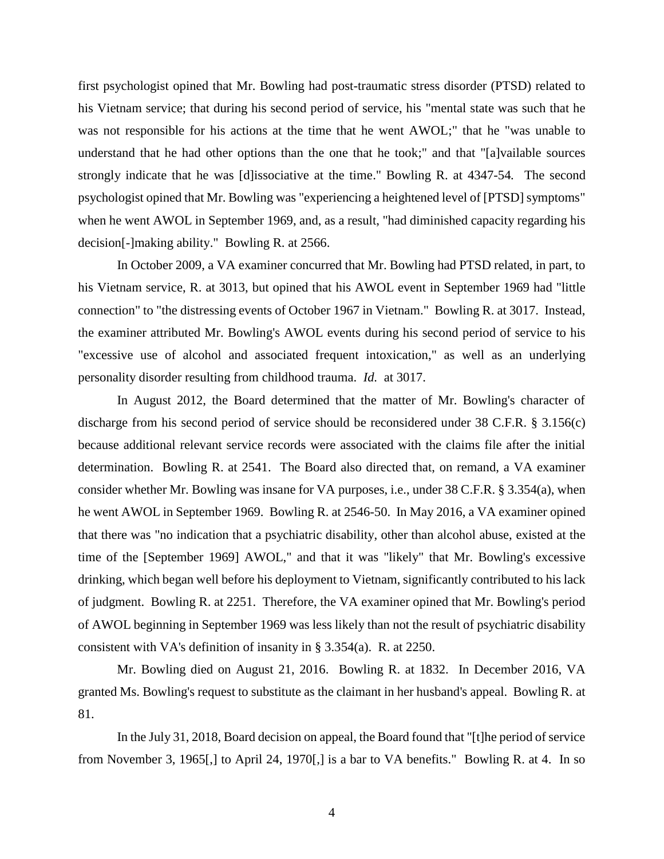first psychologist opined that Mr. Bowling had post-traumatic stress disorder (PTSD) related to his Vietnam service; that during his second period of service, his "mental state was such that he was not responsible for his actions at the time that he went AWOL;" that he "was unable to understand that he had other options than the one that he took;" and that "[a]vailable sources strongly indicate that he was [d]issociative at the time." Bowling R. at 4347-54*.* The second psychologist opined that Mr. Bowling was "experiencing a heightened level of [PTSD] symptoms" when he went AWOL in September 1969, and, as a result, "had diminished capacity regarding his decision[-]making ability." Bowling R. at 2566.

In October 2009, a VA examiner concurred that Mr. Bowling had PTSD related, in part, to his Vietnam service, R. at 3013, but opined that his AWOL event in September 1969 had "little connection" to "the distressing events of October 1967 in Vietnam." Bowling R. at 3017. Instead, the examiner attributed Mr. Bowling's AWOL events during his second period of service to his "excessive use of alcohol and associated frequent intoxication," as well as an underlying personality disorder resulting from childhood trauma. *Id.* at 3017.

In August 2012, the Board determined that the matter of Mr. Bowling's character of discharge from his second period of service should be reconsidered under 38 C.F.R. § 3.156(c) because additional relevant service records were associated with the claims file after the initial determination. Bowling R. at 2541. The Board also directed that, on remand, a VA examiner consider whether Mr. Bowling was insane for VA purposes, i.e., under 38 C.F.R. § 3.354(a), when he went AWOL in September 1969. Bowling R. at 2546-50. In May 2016, a VA examiner opined that there was "no indication that a psychiatric disability, other than alcohol abuse, existed at the time of the [September 1969] AWOL," and that it was "likely" that Mr. Bowling's excessive drinking, which began well before his deployment to Vietnam, significantly contributed to his lack of judgment. Bowling R. at 2251. Therefore, the VA examiner opined that Mr. Bowling's period of AWOL beginning in September 1969 was less likely than not the result of psychiatric disability consistent with VA's definition of insanity in § 3.354(a). R. at 2250.

Mr. Bowling died on August 21, 2016. Bowling R. at 1832. In December 2016, VA granted Ms. Bowling's request to substitute as the claimant in her husband's appeal. Bowling R. at 81.

In the July 31, 2018, Board decision on appeal, the Board found that "[t]he period of service from November 3, 1965[,] to April 24, 1970[,] is a bar to VA benefits." Bowling R. at 4. In so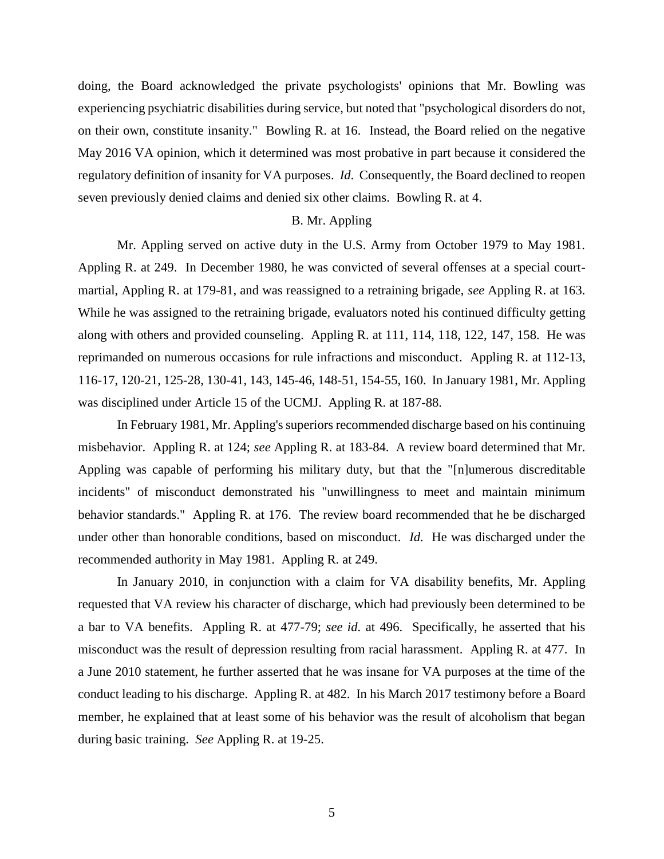doing, the Board acknowledged the private psychologists' opinions that Mr. Bowling was experiencing psychiatric disabilities during service, but noted that "psychological disorders do not, on their own, constitute insanity." Bowling R. at 16. Instead, the Board relied on the negative May 2016 VA opinion, which it determined was most probative in part because it considered the regulatory definition of insanity for VA purposes. *Id*. Consequently, the Board declined to reopen seven previously denied claims and denied six other claims. Bowling R. at 4.

## B. Mr. Appling

Mr. Appling served on active duty in the U.S. Army from October 1979 to May 1981. Appling R. at 249. In December 1980, he was convicted of several offenses at a special courtmartial, Appling R. at 179-81, and was reassigned to a retraining brigade, *see* Appling R. at 163. While he was assigned to the retraining brigade, evaluators noted his continued difficulty getting along with others and provided counseling. Appling R. at 111, 114, 118, 122, 147, 158. He was reprimanded on numerous occasions for rule infractions and misconduct. Appling R. at 112-13, 116-17, 120-21, 125-28, 130-41, 143, 145-46, 148-51, 154-55, 160. In January 1981, Mr. Appling was disciplined under Article 15 of the UCMJ. Appling R. at 187-88.

In February 1981, Mr. Appling's superiors recommended discharge based on his continuing misbehavior. Appling R. at 124; *see* Appling R. at 183-84. A review board determined that Mr. Appling was capable of performing his military duty, but that the "[n]umerous discreditable incidents" of misconduct demonstrated his "unwillingness to meet and maintain minimum behavior standards." Appling R. at 176. The review board recommended that he be discharged under other than honorable conditions, based on misconduct. *Id*. He was discharged under the recommended authority in May 1981. Appling R. at 249.

In January 2010, in conjunction with a claim for VA disability benefits, Mr. Appling requested that VA review his character of discharge, which had previously been determined to be a bar to VA benefits. Appling R. at 477-79; *see id*. at 496. Specifically, he asserted that his misconduct was the result of depression resulting from racial harassment. Appling R. at 477. In a June 2010 statement, he further asserted that he was insane for VA purposes at the time of the conduct leading to his discharge. Appling R. at 482. In his March 2017 testimony before a Board member, he explained that at least some of his behavior was the result of alcoholism that began during basic training. *See* Appling R. at 19-25.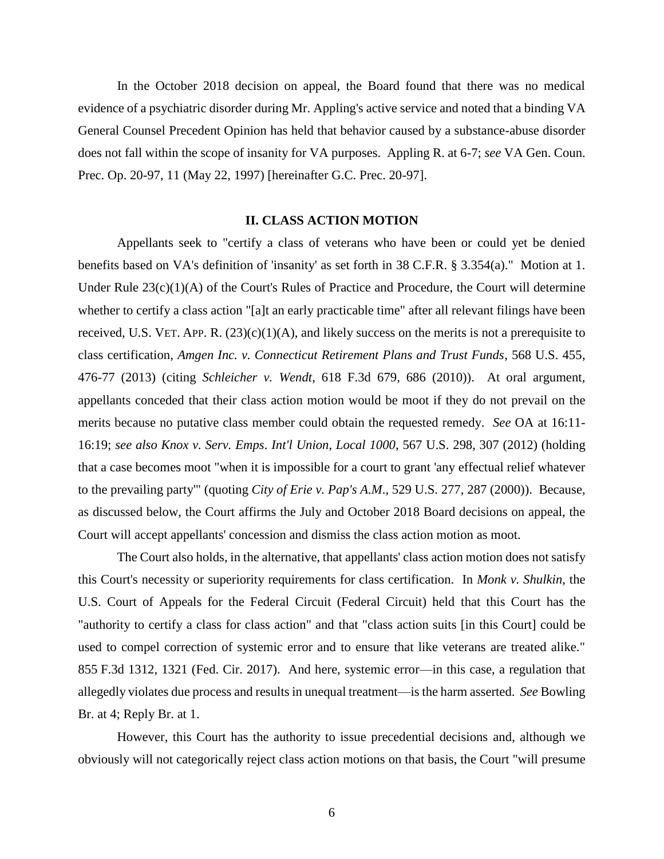In the October 2018 decision on appeal, the Board found that there was no medical evidence of a psychiatric disorder during Mr. Appling's active service and noted that a binding VA General Counsel Precedent Opinion has held that behavior caused by a substance-abuse disorder does not fall within the scope of insanity for VA purposes. Appling R. at 6-7; *see* VA Gen. Coun. Prec. Op. 20-97, 11 (May 22, 1997) [hereinafter G.C. Prec. 20-97].

### **II. CLASS ACTION MOTION**

Appellants seek to "certify a class of veterans who have been or could yet be denied benefits based on VA's definition of 'insanity' as set forth in 38 C.F.R. § 3.354(a)." Motion at 1. Under Rule 23(c)(1)(A) of the Court's Rules of Practice and Procedure, the Court will determine whether to certify a class action "[a]t an early practicable time" after all relevant filings have been received, U.S. VET. APP. R.  $(23)(c)(1)(A)$ , and likely success on the merits is not a prerequisite to class certification, *Amgen Inc. v. Connecticut Retirement Plans and Trust Funds*, 568 U.S. 455, 476-77 (2013) (citing *Schleicher v. Wendt*, 618 F.3d 679, 686 (2010)). At oral argument, appellants conceded that their class action motion would be moot if they do not prevail on the merits because no putative class member could obtain the requested remedy. *See* OA at 16:11- 16:19; *see also Knox v. Serv. Emps*. *Int'l Union*, *Local 1000*, 567 U.S. 298, 307 (2012) (holding that a case becomes moot "when it is impossible for a court to grant 'any effectual relief whatever to the prevailing party'" (quoting *City of Erie v. Pap's A.M*., 529 U.S. 277, 287 (2000)). Because, as discussed below, the Court affirms the July and October 2018 Board decisions on appeal, the Court will accept appellants' concession and dismiss the class action motion as moot.

The Court also holds, in the alternative, that appellants' class action motion does not satisfy this Court's necessity or superiority requirements for class certification. In *Monk v. Shulkin*, the U.S. Court of Appeals for the Federal Circuit (Federal Circuit) held that this Court has the "authority to certify a class for class action" and that "class action suits [in this Court] could be used to compel correction of systemic error and to ensure that like veterans are treated alike." 855 F.3d 1312, 1321 (Fed. Cir. 2017). And here, systemic error—in this case, a regulation that allegedly violates due process and results in unequal treatment—is the harm asserted. *See* Bowling Br. at 4; Reply Br. at 1.

However, this Court has the authority to issue precedential decisions and, although we obviously will not categorically reject class action motions on that basis, the Court "will presume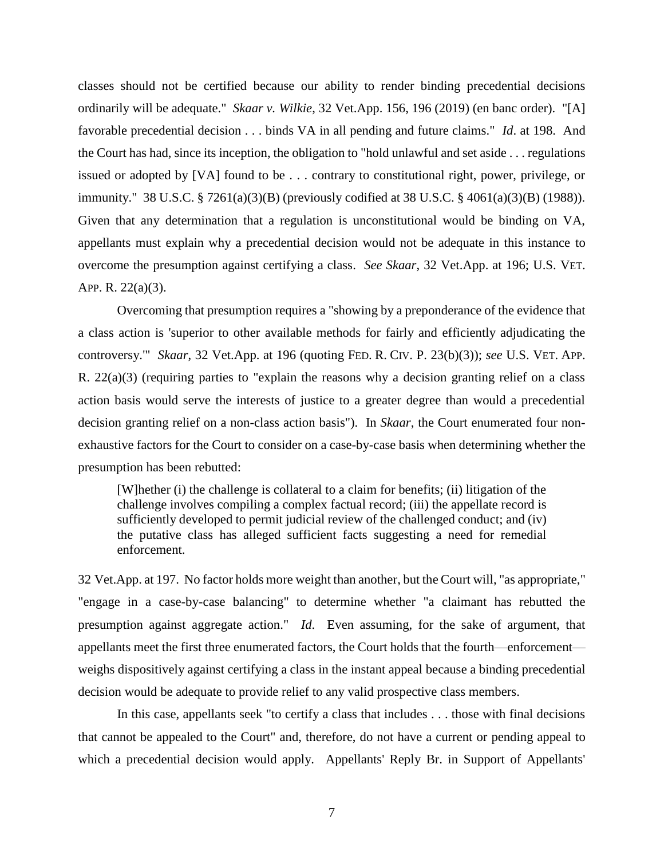classes should not be certified because our ability to render binding precedential decisions ordinarily will be adequate." *Skaar v. Wilkie*, 32 Vet.App. 156, 196 (2019) (en banc order). "[A] favorable precedential decision . . . binds VA in all pending and future claims." *Id*. at 198. And the Court has had, since its inception, the obligation to "hold unlawful and set aside . . . regulations issued or adopted by [VA] found to be . . . contrary to constitutional right, power, privilege, or immunity." 38 U.S.C. § 7261(a)(3)(B) (previously codified at 38 U.S.C. § 4061(a)(3)(B) (1988)). Given that any determination that a regulation is unconstitutional would be binding on VA, appellants must explain why a precedential decision would not be adequate in this instance to overcome the presumption against certifying a class. *See Skaar*, 32 Vet.App. at 196; U.S. VET. APP. R. 22(a)(3).

Overcoming that presumption requires a "showing by a preponderance of the evidence that a class action is 'superior to other available methods for fairly and efficiently adjudicating the controversy.'" *Skaar*, 32 Vet.App. at 196 (quoting FED. R. CIV. P. 23(b)(3)); *see* U.S. VET. APP. R.  $22(a)(3)$  (requiring parties to "explain the reasons why a decision granting relief on a class action basis would serve the interests of justice to a greater degree than would a precedential decision granting relief on a non-class action basis"). In *Skaar*, the Court enumerated four nonexhaustive factors for the Court to consider on a case-by-case basis when determining whether the presumption has been rebutted:

[W]hether (i) the challenge is collateral to a claim for benefits; (ii) litigation of the challenge involves compiling a complex factual record; (iii) the appellate record is sufficiently developed to permit judicial review of the challenged conduct; and (iv) the putative class has alleged sufficient facts suggesting a need for remedial enforcement.

32 Vet.App. at 197. No factor holds more weight than another, but the Court will, "as appropriate," "engage in a case-by-case balancing" to determine whether "a claimant has rebutted the presumption against aggregate action." *Id*. Even assuming, for the sake of argument, that appellants meet the first three enumerated factors, the Court holds that the fourth—enforcement weighs dispositively against certifying a class in the instant appeal because a binding precedential decision would be adequate to provide relief to any valid prospective class members.

In this case, appellants seek "to certify a class that includes . . . those with final decisions that cannot be appealed to the Court" and, therefore, do not have a current or pending appeal to which a precedential decision would apply. Appellants' Reply Br. in Support of Appellants'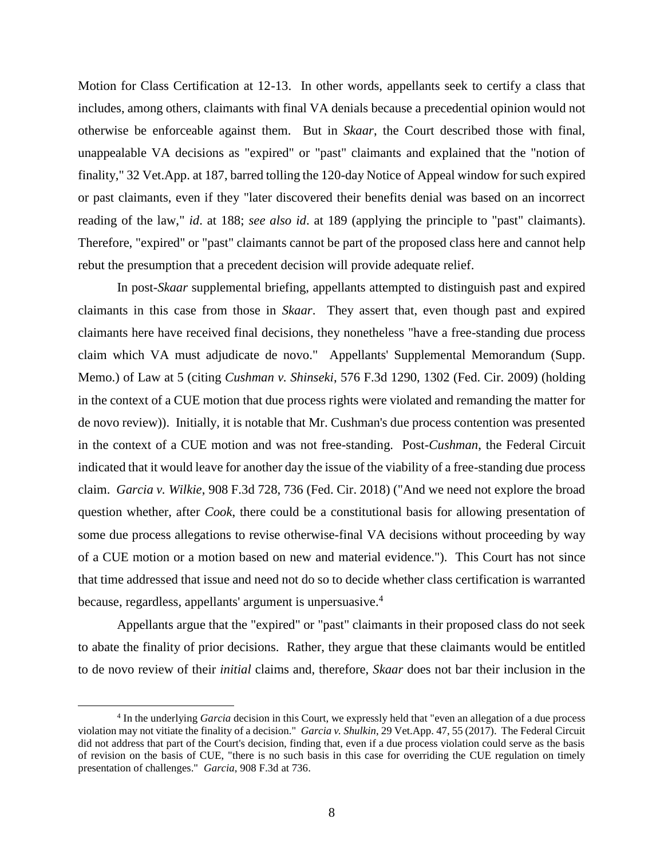Motion for Class Certification at 12-13. In other words, appellants seek to certify a class that includes, among others, claimants with final VA denials because a precedential opinion would not otherwise be enforceable against them. But in *Skaar*, the Court described those with final, unappealable VA decisions as "expired" or "past" claimants and explained that the "notion of finality," 32 Vet.App. at 187, barred tolling the 120-day Notice of Appeal window for such expired or past claimants, even if they "later discovered their benefits denial was based on an incorrect reading of the law," *id*. at 188; *see also id*. at 189 (applying the principle to "past" claimants). Therefore, "expired" or "past" claimants cannot be part of the proposed class here and cannot help rebut the presumption that a precedent decision will provide adequate relief.

In post-*Skaar* supplemental briefing, appellants attempted to distinguish past and expired claimants in this case from those in *Skaar*. They assert that, even though past and expired claimants here have received final decisions, they nonetheless "have a free-standing due process claim which VA must adjudicate de novo." Appellants' Supplemental Memorandum (Supp. Memo.) of Law at 5 (citing *Cushman v. Shinseki*, 576 F.3d 1290, 1302 (Fed. Cir. 2009) (holding in the context of a CUE motion that due process rights were violated and remanding the matter for de novo review)). Initially, it is notable that Mr. Cushman's due process contention was presented in the context of a CUE motion and was not free-standing. Post-*Cushman*, the Federal Circuit indicated that it would leave for another day the issue of the viability of a free-standing due process claim. *Garcia v. Wilkie*, 908 F.3d 728, 736 (Fed. Cir. 2018) ("And we need not explore the broad question whether, after *Cook*, there could be a constitutional basis for allowing presentation of some due process allegations to revise otherwise-final VA decisions without proceeding by way of a CUE motion or a motion based on new and material evidence."). This Court has not since that time addressed that issue and need not do so to decide whether class certification is warranted because, regardless, appellants' argument is unpersuasive.<sup>4</sup>

Appellants argue that the "expired" or "past" claimants in their proposed class do not seek to abate the finality of prior decisions. Rather, they argue that these claimants would be entitled to de novo review of their *initial* claims and, therefore, *Skaar* does not bar their inclusion in the

<sup>&</sup>lt;sup>4</sup> In the underlying *Garcia* decision in this Court, we expressly held that "even an allegation of a due process violation may not vitiate the finality of a decision." *Garcia v. Shulkin*, 29 Vet.App. 47, 55 (2017). The Federal Circuit did not address that part of the Court's decision, finding that, even if a due process violation could serve as the basis of revision on the basis of CUE, "there is no such basis in this case for overriding the CUE regulation on timely presentation of challenges." *Garcia*, 908 F.3d at 736.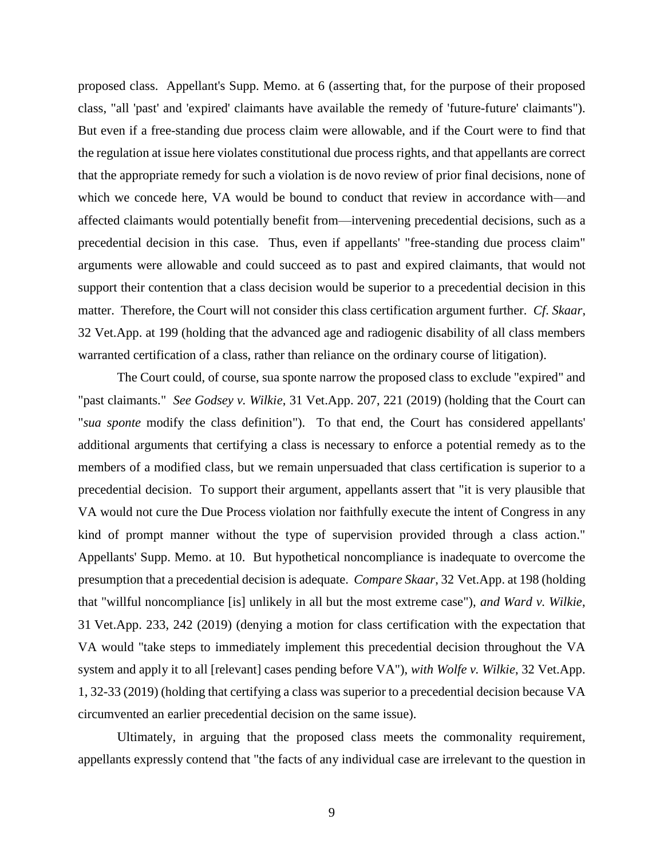proposed class. Appellant's Supp. Memo. at 6 (asserting that, for the purpose of their proposed class, "all 'past' and 'expired' claimants have available the remedy of 'future-future' claimants"). But even if a free-standing due process claim were allowable, and if the Court were to find that the regulation at issue here violates constitutional due process rights, and that appellants are correct that the appropriate remedy for such a violation is de novo review of prior final decisions, none of which we concede here, VA would be bound to conduct that review in accordance with—and affected claimants would potentially benefit from—intervening precedential decisions, such as a precedential decision in this case. Thus, even if appellants' "free-standing due process claim" arguments were allowable and could succeed as to past and expired claimants, that would not support their contention that a class decision would be superior to a precedential decision in this matter. Therefore, the Court will not consider this class certification argument further. *Cf*. *Skaar*, 32 Vet.App. at 199 (holding that the advanced age and radiogenic disability of all class members warranted certification of a class, rather than reliance on the ordinary course of litigation).

The Court could, of course, sua sponte narrow the proposed class to exclude "expired" and "past claimants." *See Godsey v. Wilkie*, 31 Vet.App. 207, 221 (2019) (holding that the Court can "*sua sponte* modify the class definition"). To that end, the Court has considered appellants' additional arguments that certifying a class is necessary to enforce a potential remedy as to the members of a modified class, but we remain unpersuaded that class certification is superior to a precedential decision. To support their argument, appellants assert that "it is very plausible that VA would not cure the Due Process violation nor faithfully execute the intent of Congress in any kind of prompt manner without the type of supervision provided through a class action." Appellants' Supp. Memo. at 10. But hypothetical noncompliance is inadequate to overcome the presumption that a precedential decision is adequate. *Compare Skaar*, 32 Vet.App. at 198 (holding that "willful noncompliance [is] unlikely in all but the most extreme case"), *and Ward v. Wilkie*, 31 Vet.App. 233, 242 (2019) (denying a motion for class certification with the expectation that VA would "take steps to immediately implement this precedential decision throughout the VA system and apply it to all [relevant] cases pending before VA"), *with Wolfe v. Wilkie*, 32 Vet.App. 1, 32-33 (2019) (holding that certifying a class was superior to a precedential decision because VA circumvented an earlier precedential decision on the same issue).

Ultimately, in arguing that the proposed class meets the commonality requirement, appellants expressly contend that "the facts of any individual case are irrelevant to the question in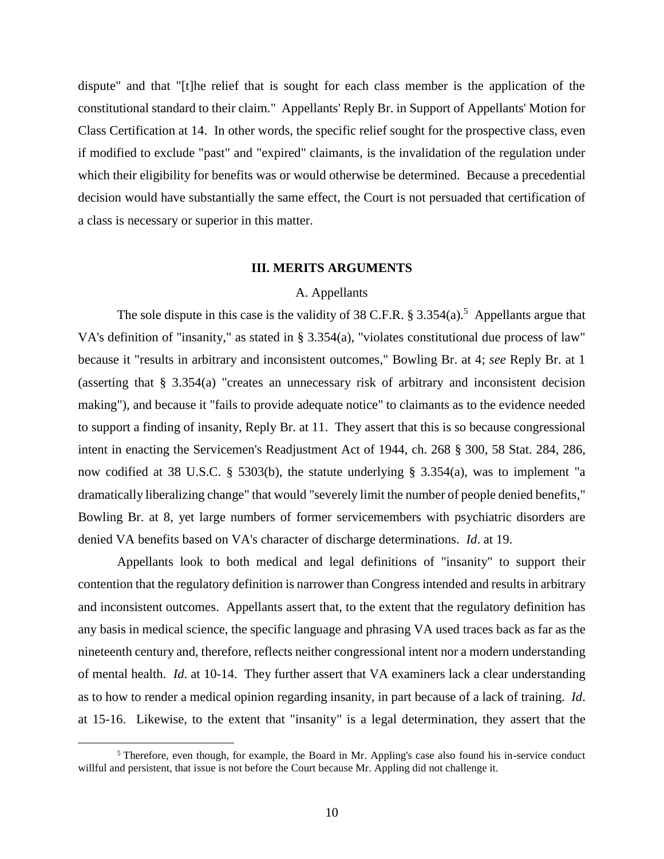dispute" and that "[t]he relief that is sought for each class member is the application of the constitutional standard to their claim." Appellants' Reply Br. in Support of Appellants' Motion for Class Certification at 14. In other words, the specific relief sought for the prospective class, even if modified to exclude "past" and "expired" claimants, is the invalidation of the regulation under which their eligibility for benefits was or would otherwise be determined. Because a precedential decision would have substantially the same effect, the Court is not persuaded that certification of a class is necessary or superior in this matter.

## **III. MERITS ARGUMENTS**

# A. Appellants

The sole dispute in this case is the validity of 38 C.F.R.  $\S 3.354(a)$ .<sup>5</sup> Appellants argue that VA's definition of "insanity," as stated in § 3.354(a), "violates constitutional due process of law" because it "results in arbitrary and inconsistent outcomes," Bowling Br. at 4; *see* Reply Br. at 1 (asserting that § 3.354(a) "creates an unnecessary risk of arbitrary and inconsistent decision making"), and because it "fails to provide adequate notice" to claimants as to the evidence needed to support a finding of insanity, Reply Br. at 11. They assert that this is so because congressional intent in enacting the Servicemen's Readjustment Act of 1944, ch. 268 § 300, 58 Stat. 284, 286, now codified at 38 U.S.C. § 5303(b), the statute underlying § 3.354(a), was to implement "a dramatically liberalizing change" that would "severely limit the number of people denied benefits," Bowling Br. at 8, yet large numbers of former servicemembers with psychiatric disorders are denied VA benefits based on VA's character of discharge determinations. *Id*. at 19.

Appellants look to both medical and legal definitions of "insanity" to support their contention that the regulatory definition is narrower than Congress intended and results in arbitrary and inconsistent outcomes. Appellants assert that, to the extent that the regulatory definition has any basis in medical science, the specific language and phrasing VA used traces back as far as the nineteenth century and, therefore, reflects neither congressional intent nor a modern understanding of mental health. *Id*. at 10-14. They further assert that VA examiners lack a clear understanding as to how to render a medical opinion regarding insanity, in part because of a lack of training. *Id*. at 15-16. Likewise, to the extent that "insanity" is a legal determination, they assert that the

<sup>5</sup> Therefore, even though, for example, the Board in Mr. Appling's case also found his in-service conduct willful and persistent, that issue is not before the Court because Mr. Appling did not challenge it.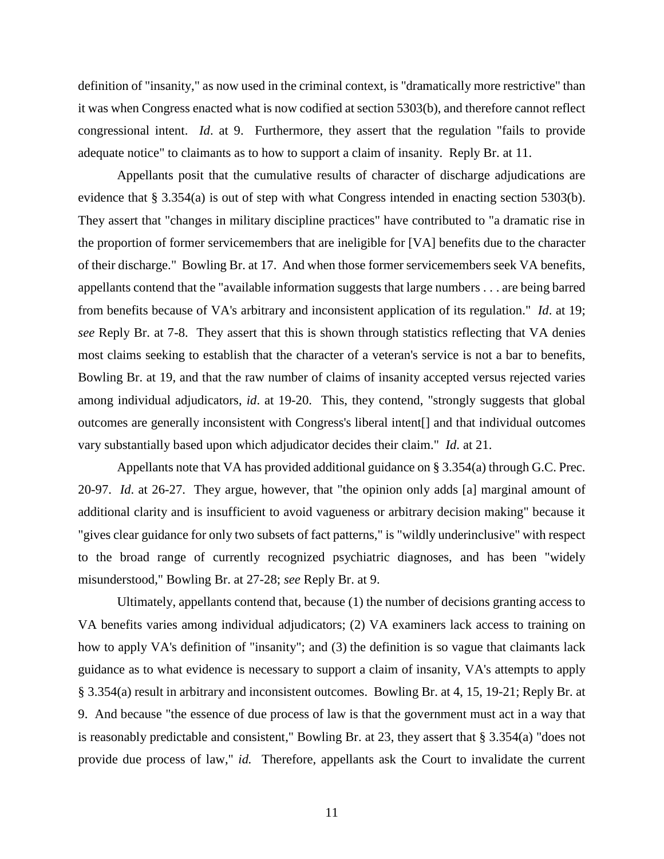definition of "insanity," as now used in the criminal context, is "dramatically more restrictive" than it was when Congress enacted what is now codified at section 5303(b), and therefore cannot reflect congressional intent. *Id*. at 9. Furthermore, they assert that the regulation "fails to provide adequate notice" to claimants as to how to support a claim of insanity. Reply Br. at 11.

Appellants posit that the cumulative results of character of discharge adjudications are evidence that § 3.354(a) is out of step with what Congress intended in enacting section 5303(b). They assert that "changes in military discipline practices" have contributed to "a dramatic rise in the proportion of former servicemembers that are ineligible for [VA] benefits due to the character of their discharge." Bowling Br. at 17. And when those former servicemembers seek VA benefits, appellants contend that the "available information suggests that large numbers . . . are being barred from benefits because of VA's arbitrary and inconsistent application of its regulation." *Id*. at 19; *see* Reply Br. at 7-8. They assert that this is shown through statistics reflecting that VA denies most claims seeking to establish that the character of a veteran's service is not a bar to benefits, Bowling Br. at 19, and that the raw number of claims of insanity accepted versus rejected varies among individual adjudicators, *id*. at 19-20. This, they contend, "strongly suggests that global outcomes are generally inconsistent with Congress's liberal intent[] and that individual outcomes vary substantially based upon which adjudicator decides their claim." *Id*. at 21.

Appellants note that VA has provided additional guidance on § 3.354(a) through G.C. Prec. 20-97. *Id*. at 26-27. They argue, however, that "the opinion only adds [a] marginal amount of additional clarity and is insufficient to avoid vagueness or arbitrary decision making" because it "gives clear guidance for only two subsets of fact patterns," is "wildly underinclusive" with respect to the broad range of currently recognized psychiatric diagnoses, and has been "widely misunderstood," Bowling Br. at 27-28; *see* Reply Br. at 9.

Ultimately, appellants contend that, because (1) the number of decisions granting access to VA benefits varies among individual adjudicators; (2) VA examiners lack access to training on how to apply VA's definition of "insanity"; and (3) the definition is so vague that claimants lack guidance as to what evidence is necessary to support a claim of insanity, VA's attempts to apply § 3.354(a) result in arbitrary and inconsistent outcomes. Bowling Br. at 4, 15, 19-21; Reply Br. at 9. And because "the essence of due process of law is that the government must act in a way that is reasonably predictable and consistent," Bowling Br. at 23, they assert that § 3.354(a) "does not provide due process of law," *id.* Therefore, appellants ask the Court to invalidate the current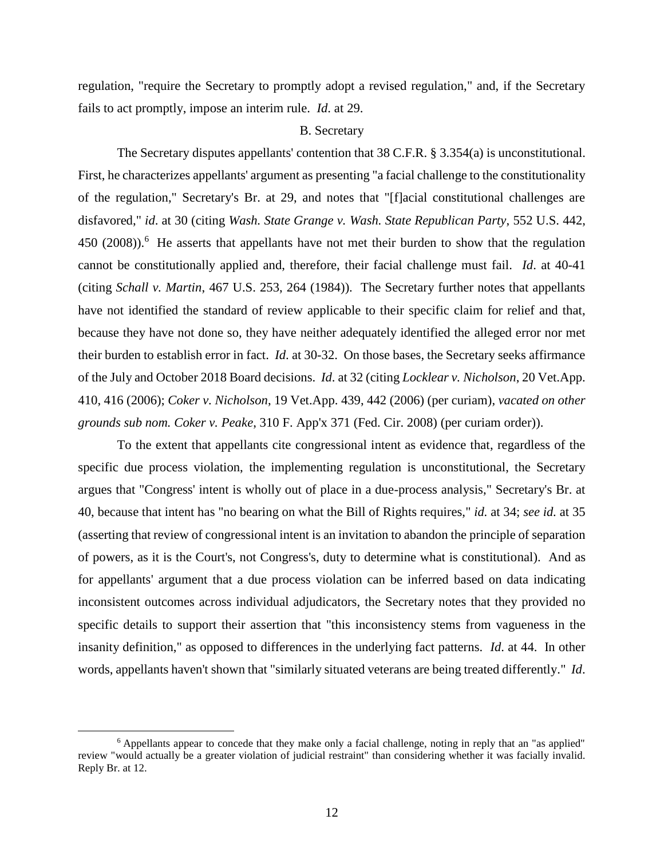regulation, "require the Secretary to promptly adopt a revised regulation," and, if the Secretary fails to act promptly, impose an interim rule. *Id*. at 29.

### B. Secretary

The Secretary disputes appellants' contention that 38 C.F.R. § 3.354(a) is unconstitutional. First, he characterizes appellants' argument as presenting "a facial challenge to the constitutionality of the regulation," Secretary's Br. at 29, and notes that "[f]acial constitutional challenges are disfavored," *id*. at 30 (citing *Wash. State Grange v. Wash. State Republican Party*, 552 U.S. 442, 450 (2008)).<sup>6</sup> He asserts that appellants have not met their burden to show that the regulation cannot be constitutionally applied and, therefore, their facial challenge must fail. *Id*. at 40-41 (citing *Schall v. Martin*, 467 U.S. 253, 264 (1984)). The Secretary further notes that appellants have not identified the standard of review applicable to their specific claim for relief and that, because they have not done so, they have neither adequately identified the alleged error nor met their burden to establish error in fact. *Id*. at 30-32. On those bases, the Secretary seeks affirmance of the July and October 2018 Board decisions. *Id*. at 32 (citing *Locklear v. Nicholson*, 20 Vet.App. 410, 416 (2006); *Coker v. Nicholson*, 19 Vet.App. 439, 442 (2006) (per curiam), *vacated on other grounds sub nom. Coker v. Peake*, 310 F. App'x 371 (Fed. Cir. 2008) (per curiam order)).

To the extent that appellants cite congressional intent as evidence that, regardless of the specific due process violation, the implementing regulation is unconstitutional, the Secretary argues that "Congress' intent is wholly out of place in a due-process analysis," Secretary's Br. at 40, because that intent has "no bearing on what the Bill of Rights requires," *id.* at 34; *see id.* at 35 (asserting that review of congressional intent is an invitation to abandon the principle of separation of powers, as it is the Court's, not Congress's, duty to determine what is constitutional). And as for appellants' argument that a due process violation can be inferred based on data indicating inconsistent outcomes across individual adjudicators, the Secretary notes that they provided no specific details to support their assertion that "this inconsistency stems from vagueness in the insanity definition," as opposed to differences in the underlying fact patterns. *Id*. at 44. In other words, appellants haven't shown that "similarly situated veterans are being treated differently." *Id*.

<sup>6</sup> Appellants appear to concede that they make only a facial challenge, noting in reply that an "as applied" review "would actually be a greater violation of judicial restraint" than considering whether it was facially invalid. Reply Br. at 12.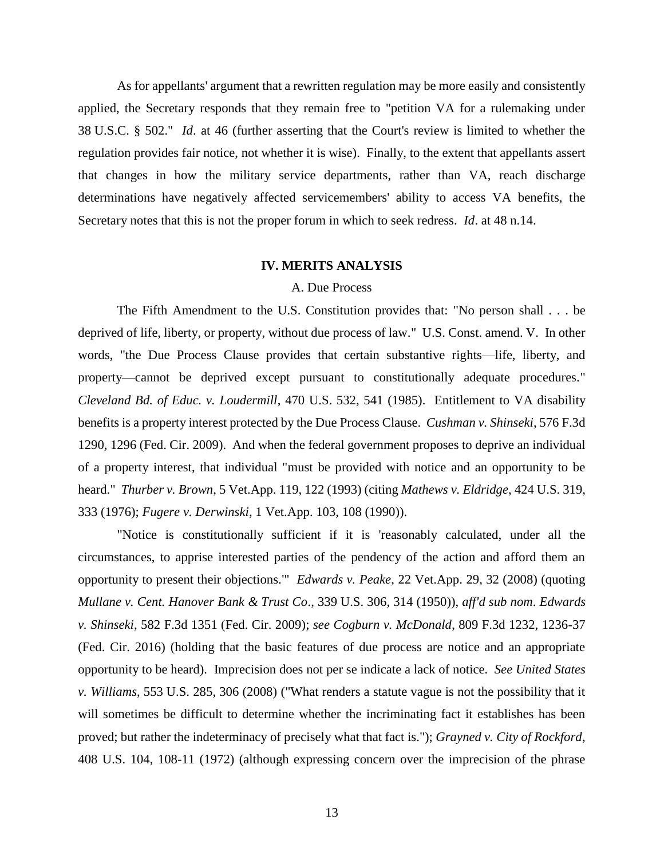As for appellants' argument that a rewritten regulation may be more easily and consistently applied, the Secretary responds that they remain free to "petition VA for a rulemaking under 38 U.S.C. § 502." *Id*. at 46 (further asserting that the Court's review is limited to whether the regulation provides fair notice, not whether it is wise). Finally, to the extent that appellants assert that changes in how the military service departments, rather than VA, reach discharge determinations have negatively affected servicemembers' ability to access VA benefits, the Secretary notes that this is not the proper forum in which to seek redress. *Id*. at 48 n.14.

#### **IV. MERITS ANALYSIS**

# A. Due Process

The Fifth Amendment to the U.S. Constitution provides that: "No person shall . . . be deprived of life, liberty, or property, without due process of law." U.S. Const. amend. V. In other words, "the Due Process Clause provides that certain substantive rights—life, liberty, and property—cannot be deprived except pursuant to constitutionally adequate procedures." *Cleveland Bd. of Educ. v. Loudermill*, 470 U.S. 532, 541 (1985). Entitlement to VA disability benefits is a property interest protected by the Due Process Clause. *Cushman v. Shinseki*, 576 F.3d 1290, 1296 (Fed. Cir. 2009). And when the federal government proposes to deprive an individual of a property interest, that individual "must be provided with notice and an opportunity to be heard." *Thurber v. Brown*, 5 Vet.App. 119, 122 (1993) (citing *Mathews v. Eldridge*, 424 U.S. 319, 333 (1976); *Fugere v. Derwinski*, 1 Vet.App. 103, 108 (1990)).

"Notice is constitutionally sufficient if it is 'reasonably calculated, under all the circumstances, to apprise interested parties of the pendency of the action and afford them an opportunity to present their objections.'" *Edwards v. Peake*, 22 Vet.App. 29, 32 (2008) (quoting *Mullane v. Cent. Hanover Bank & Trust Co*., 339 U.S. 306, 314 (1950)), *aff'd sub nom*. *Edwards v. Shinseki*, 582 F.3d 1351 (Fed. Cir. 2009); *see Cogburn v. McDonald*, 809 F.3d 1232, 1236-37 (Fed. Cir. 2016) (holding that the basic features of due process are notice and an appropriate opportunity to be heard). Imprecision does not per se indicate a lack of notice. *See United States v. Williams*, 553 U.S. 285, 306 (2008) ("What renders a statute vague is not the possibility that it will sometimes be difficult to determine whether the incriminating fact it establishes has been proved; but rather the indeterminacy of precisely what that fact is."); *Grayned v. City of Rockford*, 408 U.S. 104, 108-11 (1972) (although expressing concern over the imprecision of the phrase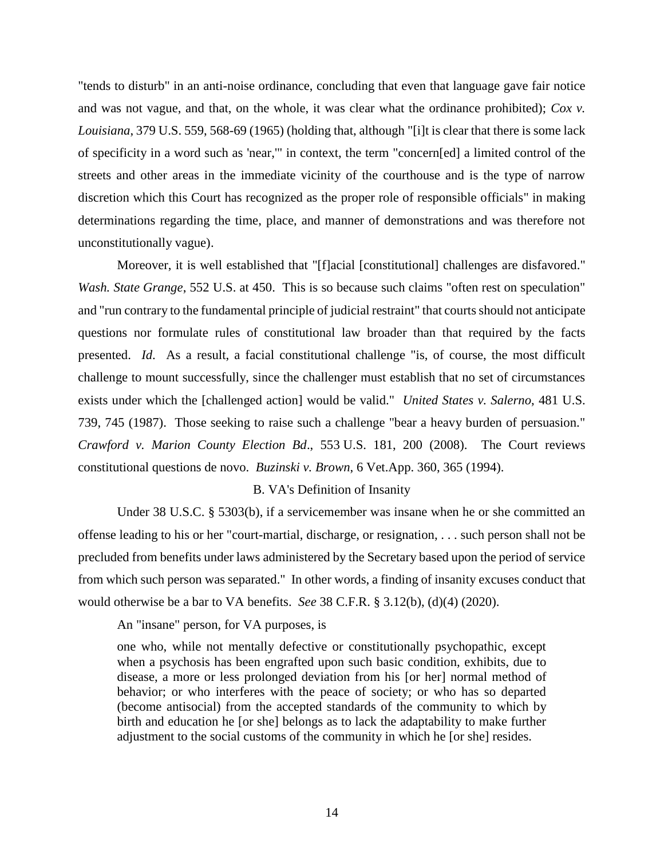"tends to disturb" in an anti-noise ordinance, concluding that even that language gave fair notice and was not vague, and that, on the whole, it was clear what the ordinance prohibited); *Cox v. Louisiana*, 379 U.S. 559, 568-69 (1965) (holding that, although "[i]t is clear that there is some lack of specificity in a word such as 'near,'" in context, the term "concern[ed] a limited control of the streets and other areas in the immediate vicinity of the courthouse and is the type of narrow discretion which this Court has recognized as the proper role of responsible officials" in making determinations regarding the time, place, and manner of demonstrations and was therefore not unconstitutionally vague).

Moreover, it is well established that "[f]acial [constitutional] challenges are disfavored." *Wash. State Grange*, 552 U.S. at 450. This is so because such claims "often rest on speculation" and "run contrary to the fundamental principle of judicial restraint" that courts should not anticipate questions nor formulate rules of constitutional law broader than that required by the facts presented. *Id*. As a result, a facial constitutional challenge "is, of course, the most difficult challenge to mount successfully, since the challenger must establish that no set of circumstances exists under which the [challenged action] would be valid." *United States v. Salerno*, 481 U.S. 739, 745 (1987). Those seeking to raise such a challenge "bear a heavy burden of persuasion." *Crawford v. Marion County Election Bd*., 553 U.S. 181, 200 (2008). The Court reviews constitutional questions de novo. *Buzinski v. Brown*, 6 Vet.App. 360, 365 (1994).

## B. VA's Definition of Insanity

Under 38 U.S.C. § 5303(b), if a servicemember was insane when he or she committed an offense leading to his or her "court-martial, discharge, or resignation, . . . such person shall not be precluded from benefits under laws administered by the Secretary based upon the period of service from which such person was separated." In other words, a finding of insanity excuses conduct that would otherwise be a bar to VA benefits. *See* 38 C.F.R. § 3.12(b), (d)(4) (2020).

An "insane" person, for VA purposes, is

one who, while not mentally defective or constitutionally psychopathic, except when a psychosis has been engrafted upon such basic condition, exhibits, due to disease, a more or less prolonged deviation from his [or her] normal method of behavior; or who interferes with the peace of society; or who has so departed (become antisocial) from the accepted standards of the community to which by birth and education he [or she] belongs as to lack the adaptability to make further adjustment to the social customs of the community in which he [or she] resides.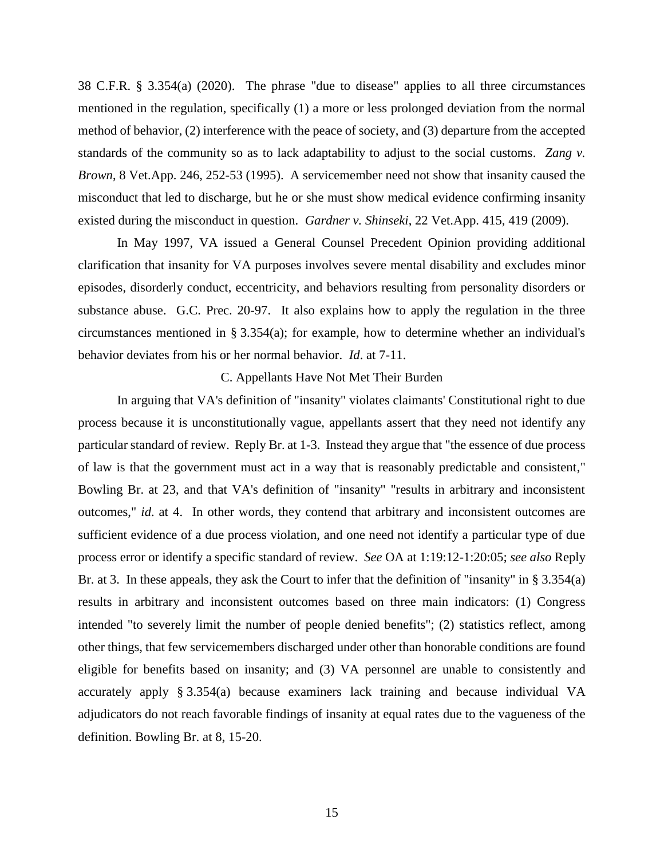38 C.F.R. § 3.354(a) (2020). The phrase "due to disease" applies to all three circumstances mentioned in the regulation, specifically (1) a more or less prolonged deviation from the normal method of behavior, (2) interference with the peace of society, and (3) departure from the accepted standards of the community so as to lack adaptability to adjust to the social customs. *Zang v. Brown*, 8 Vet.App. 246, 252-53 (1995). A servicemember need not show that insanity caused the misconduct that led to discharge, but he or she must show medical evidence confirming insanity existed during the misconduct in question. *Gardner v. Shinseki*, 22 Vet.App. 415, 419 (2009).

In May 1997, VA issued a General Counsel Precedent Opinion providing additional clarification that insanity for VA purposes involves severe mental disability and excludes minor episodes, disorderly conduct, eccentricity, and behaviors resulting from personality disorders or substance abuse. G.C. Prec. 20-97. It also explains how to apply the regulation in the three circumstances mentioned in § 3.354(a); for example, how to determine whether an individual's behavior deviates from his or her normal behavior. *Id*. at 7-11.

## C. Appellants Have Not Met Their Burden

In arguing that VA's definition of "insanity" violates claimants' Constitutional right to due process because it is unconstitutionally vague, appellants assert that they need not identify any particular standard of review. Reply Br. at 1-3. Instead they argue that "the essence of due process of law is that the government must act in a way that is reasonably predictable and consistent," Bowling Br. at 23, and that VA's definition of "insanity" "results in arbitrary and inconsistent outcomes," *id*. at 4. In other words, they contend that arbitrary and inconsistent outcomes are sufficient evidence of a due process violation, and one need not identify a particular type of due process error or identify a specific standard of review. *See* OA at 1:19:12-1:20:05; *see also* Reply Br. at 3. In these appeals, they ask the Court to infer that the definition of "insanity" in § 3.354(a) results in arbitrary and inconsistent outcomes based on three main indicators: (1) Congress intended "to severely limit the number of people denied benefits"; (2) statistics reflect, among other things, that few servicemembers discharged under other than honorable conditions are found eligible for benefits based on insanity; and (3) VA personnel are unable to consistently and accurately apply § 3.354(a) because examiners lack training and because individual VA adjudicators do not reach favorable findings of insanity at equal rates due to the vagueness of the definition. Bowling Br. at 8, 15-20.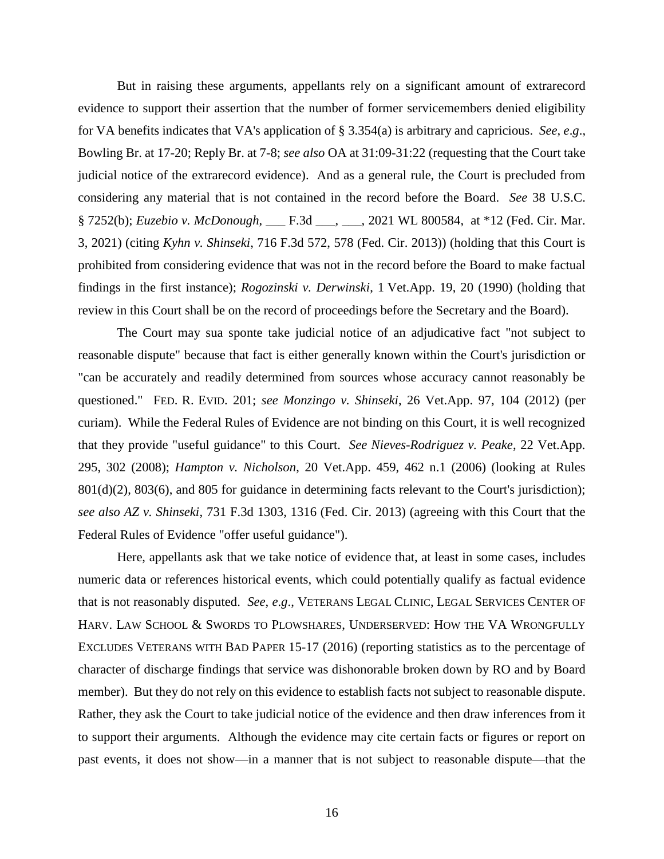But in raising these arguments, appellants rely on a significant amount of extrarecord evidence to support their assertion that the number of former servicemembers denied eligibility for VA benefits indicates that VA's application of § 3.354(a) is arbitrary and capricious. *See*, *e*.*g*., Bowling Br. at 17-20; Reply Br. at 7-8; *see also* OA at 31:09-31:22 (requesting that the Court take judicial notice of the extrarecord evidence). And as a general rule, the Court is precluded from considering any material that is not contained in the record before the Board. *See* 38 U.S.C. § 7252(b); *Euzebio v. McDonough*, \_\_\_ F.3d \_\_\_, \_\_\_, 2021 WL 800584, at \*12 (Fed. Cir. Mar. 3, 2021) (citing *Kyhn v. Shinseki*, 716 F.3d 572, 578 (Fed. Cir. 2013)) (holding that this Court is prohibited from considering evidence that was not in the record before the Board to make factual findings in the first instance); *Rogozinski v. Derwinski*, 1 Vet.App. 19, 20 (1990) (holding that review in this Court shall be on the record of proceedings before the Secretary and the Board).

The Court may sua sponte take judicial notice of an adjudicative fact "not subject to reasonable dispute" because that fact is either generally known within the Court's jurisdiction or "can be accurately and readily determined from sources whose accuracy cannot reasonably be questioned." FED. R. EVID. 201; *see Monzingo v. Shinseki*, 26 Vet.App. 97, 104 (2012) (per curiam). While the Federal Rules of Evidence are not binding on this Court, it is well recognized that they provide "useful guidance" to this Court. *See Nieves-Rodriguez v. Peake*, 22 Vet.App. 295, 302 (2008); *Hampton v. Nicholson*, 20 Vet.App. 459, 462 n.1 (2006) (looking at Rules 801(d)(2), 803(6), and 805 for guidance in determining facts relevant to the Court's jurisdiction); *see also AZ v. Shinseki*, 731 F.3d 1303, 1316 (Fed. Cir. 2013) (agreeing with this Court that the Federal Rules of Evidence "offer useful guidance").

Here, appellants ask that we take notice of evidence that, at least in some cases, includes numeric data or references historical events, which could potentially qualify as factual evidence that is not reasonably disputed. *See*, *e*.*g*., VETERANS LEGAL CLINIC, LEGAL SERVICES CENTER OF HARV. LAW SCHOOL & SWORDS TO PLOWSHARES, UNDERSERVED: HOW THE VA WRONGFULLY EXCLUDES VETERANS WITH BAD PAPER 15-17 (2016) (reporting statistics as to the percentage of character of discharge findings that service was dishonorable broken down by RO and by Board member). But they do not rely on this evidence to establish facts not subject to reasonable dispute. Rather, they ask the Court to take judicial notice of the evidence and then draw inferences from it to support their arguments. Although the evidence may cite certain facts or figures or report on past events, it does not show—in a manner that is not subject to reasonable dispute—that the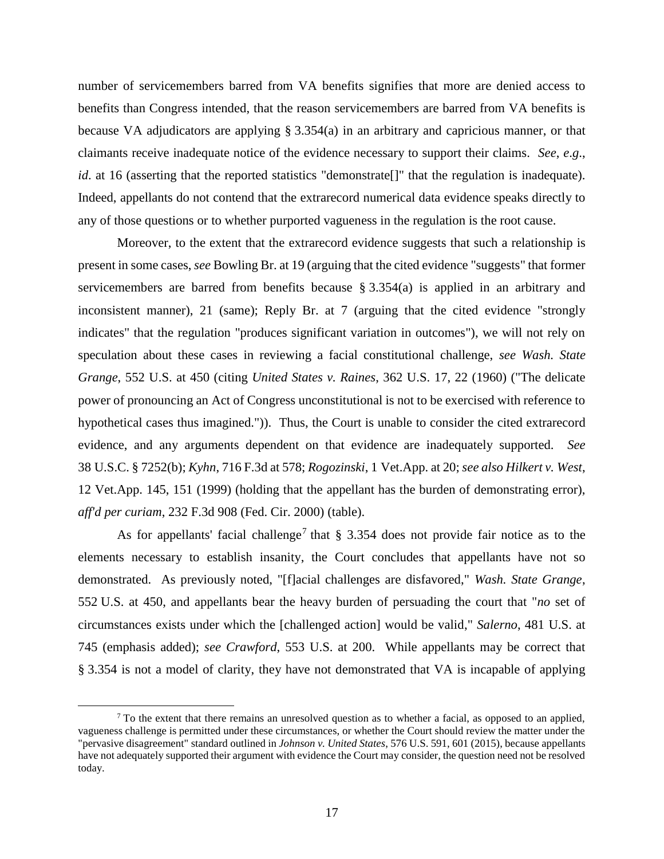number of servicemembers barred from VA benefits signifies that more are denied access to benefits than Congress intended, that the reason servicemembers are barred from VA benefits is because VA adjudicators are applying § 3.354(a) in an arbitrary and capricious manner, or that claimants receive inadequate notice of the evidence necessary to support their claims. *See*, *e*.*g*., *id*. at 16 (asserting that the reported statistics "demonstrate<sup>[]"</sup> that the regulation is inadequate). Indeed, appellants do not contend that the extrarecord numerical data evidence speaks directly to any of those questions or to whether purported vagueness in the regulation is the root cause.

Moreover, to the extent that the extrarecord evidence suggests that such a relationship is present in some cases, *see* Bowling Br. at 19 (arguing that the cited evidence "suggests" that former servicemembers are barred from benefits because § 3.354(a) is applied in an arbitrary and inconsistent manner), 21 (same); Reply Br. at 7 (arguing that the cited evidence "strongly indicates" that the regulation "produces significant variation in outcomes"), we will not rely on speculation about these cases in reviewing a facial constitutional challenge, *see Wash. State Grange*, 552 U.S. at 450 (citing *United States v. Raines*, 362 U.S. 17, 22 (1960) ("The delicate power of pronouncing an Act of Congress unconstitutional is not to be exercised with reference to hypothetical cases thus imagined.")). Thus, the Court is unable to consider the cited extrarecord evidence, and any arguments dependent on that evidence are inadequately supported. *See*  38 U.S.C. § 7252(b); *Kyhn*, 716 F.3d at 578; *Rogozinski*, 1 Vet.App. at 20; *see also Hilkert v. West*, 12 Vet.App. 145, 151 (1999) (holding that the appellant has the burden of demonstrating error), *aff'd per curiam*, 232 F.3d 908 (Fed. Cir. 2000) (table).

As for appellants' facial challenge<sup>7</sup> that  $\S$  3.354 does not provide fair notice as to the elements necessary to establish insanity, the Court concludes that appellants have not so demonstrated. As previously noted, "[f]acial challenges are disfavored," *Wash. State Grange*, 552 U.S. at 450, and appellants bear the heavy burden of persuading the court that "*no* set of circumstances exists under which the [challenged action] would be valid," *Salerno*, 481 U.S. at 745 (emphasis added); *see Crawford*, 553 U.S. at 200. While appellants may be correct that § 3.354 is not a model of clarity, they have not demonstrated that VA is incapable of applying

 $7$  To the extent that there remains an unresolved question as to whether a facial, as opposed to an applied, vagueness challenge is permitted under these circumstances, or whether the Court should review the matter under the "pervasive disagreement" standard outlined in *Johnson v. United States*, 576 U.S. 591, 601 (2015), because appellants have not adequately supported their argument with evidence the Court may consider, the question need not be resolved today.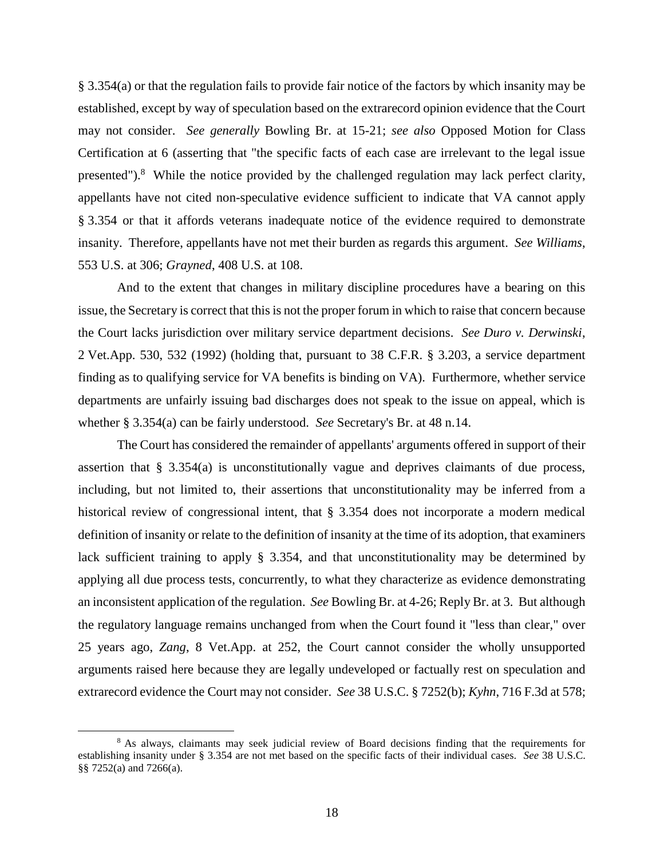§ 3.354(a) or that the regulation fails to provide fair notice of the factors by which insanity may be established, except by way of speculation based on the extrarecord opinion evidence that the Court may not consider. *See generally* Bowling Br. at 15-21; *see also* Opposed Motion for Class Certification at 6 (asserting that "the specific facts of each case are irrelevant to the legal issue presented").<sup>8</sup> While the notice provided by the challenged regulation may lack perfect clarity, appellants have not cited non-speculative evidence sufficient to indicate that VA cannot apply § 3.354 or that it affords veterans inadequate notice of the evidence required to demonstrate insanity. Therefore, appellants have not met their burden as regards this argument. *See Williams*, 553 U.S. at 306; *Grayned*, 408 U.S. at 108.

And to the extent that changes in military discipline procedures have a bearing on this issue, the Secretary is correct that this is not the proper forum in which to raise that concern because the Court lacks jurisdiction over military service department decisions. *See Duro v. Derwinski*, 2 Vet.App. 530, 532 (1992) (holding that, pursuant to 38 C.F.R. § 3.203, a service department finding as to qualifying service for VA benefits is binding on VA). Furthermore, whether service departments are unfairly issuing bad discharges does not speak to the issue on appeal, which is whether § 3.354(a) can be fairly understood. *See* Secretary's Br. at 48 n.14.

The Court has considered the remainder of appellants' arguments offered in support of their assertion that § 3.354(a) is unconstitutionally vague and deprives claimants of due process, including, but not limited to, their assertions that unconstitutionality may be inferred from a historical review of congressional intent, that § 3.354 does not incorporate a modern medical definition of insanity or relate to the definition of insanity at the time of its adoption, that examiners lack sufficient training to apply § 3.354, and that unconstitutionality may be determined by applying all due process tests, concurrently, to what they characterize as evidence demonstrating an inconsistent application of the regulation. *See* Bowling Br. at 4-26; Reply Br. at 3. But although the regulatory language remains unchanged from when the Court found it "less than clear," over 25 years ago, *Zang*, 8 Vet.App. at 252, the Court cannot consider the wholly unsupported arguments raised here because they are legally undeveloped or factually rest on speculation and extrarecord evidence the Court may not consider. *See* 38 U.S.C. § 7252(b); *Kyhn*, 716 F.3d at 578;

<sup>&</sup>lt;sup>8</sup> As always, claimants may seek judicial review of Board decisions finding that the requirements for establishing insanity under § 3.354 are not met based on the specific facts of their individual cases. *See* 38 U.S.C. §§ 7252(a) and 7266(a).